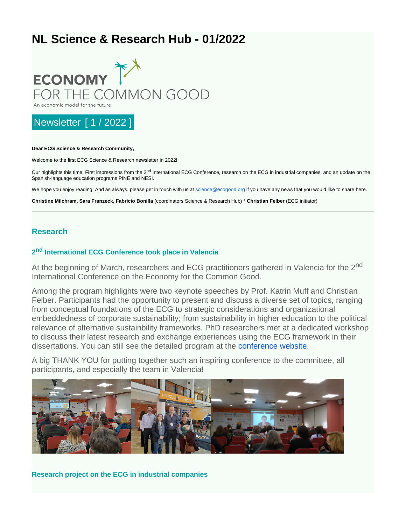# **NL Science & Research Hub - 01/2022**



## Newsletter [ 1 / 2022 ]

#### **Dear ECG Science & Research Community,**

Welcome to the first ECG Science & Research newsletter in 2022!

Our highlights this time: First impressions from the 2<sup>nd</sup> International ECG Conference, research on the ECG in industrial companies, and an update on the Spanish-language education programs PINE and NESI.

We hope you enjoy reading! And as always, please get in touch with us at [science@ecogood.org](mailto:science@ecogood.org) if you have any news that you would like to share here.

**Christine Milchram, Sara Franzeck, Fabricio Bonilla** (coordinators Science & Research Hub) \* **Christian Felber** (ECG initiator)

#### **Research**

#### **2<sup>nd</sup> International ECG Conference took place in Valencia**

At the beginning of March, researchers and ECG practitioners gathered in Valencia for the 2<sup>nd</sup> International Conference on the Economy for the Common Good.

Among the program highlights were two keynote speeches by Prof. Katrin Muff and Christian Felber. Participants had the opportunity to present and discuss a diverse set of topics, ranging from conceptual foundations of the ECG to strategic considerations and organizational embeddedness of corporate sustainability; from sustainability in higher education to the political relevance of alternative sustainbility frameworks. PhD researchers met at a dedicated workshop to discuss their latest research and exchange experiences using the ECG framework in their dissertations. You can still see the detailed program at the [conference website.](https://esdeveniments.uv.es/67799/programme/ii-economy-for-the-common-good-international-conference-2022-ecgic-2022.html)

A big THANK YOU for putting together such an inspiring conference to the committee, all participants, and especially the team in Valencia!



**Research project on the ECG in industrial companies**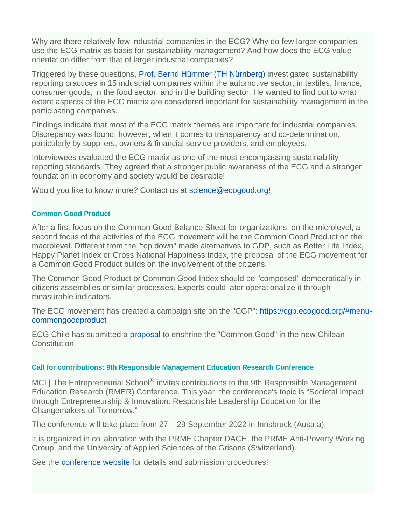Why are there relatively few industrial companies in the ECG? Why do few larger companies use the ECG matrix as basis for sustainability management? And how does the ECG value orientation differ from that of larger industrial companies?

Triggered by these questions, [Prof. Bernd Hümmer \(TH Nürnberg\)](https://www.th-nuernberg.de/person/huemmer-bernd/) investigated sustainability reporting practices in 15 industrial companies within the automotive sector, in textiles, finance, consumer goods, in the food sector, and in the building sector. He wanted to find out to what extent aspects of the ECG matrix are considered important for sustainability management in the participating companies.

Findings indicate that most of the ECG matrix themes are important for industrial companies. Discrepancy was found, however, when it comes to transparency and co-determination, particularly by suppliers, owners & financial service providers, and employees.

Interviewees evaluated the ECG matrix as one of the most encompassing sustainability reporting standards. They agreed that a stronger public awareness of the ECG and a stronger foundation in economy and society would be desirable!

Would you like to know more? Contact us at [science@ecogood.org](mailto:science@ecogood.org)!

#### **Common Good Product**

After a first focus on the Common Good Balance Sheet for organizations, on the microlevel, a second focus of the activities of the ECG movement will be the Common Good Product on the macrolevel. Different from the "top down" made alternatives to GDP, such as Better Life Index, Happy Planet Index or Gross National Happiness Index, the proposal of the ECG movement for a Common Good Product builds on the involvement of the citizens.

The Common Good Product or Common Good Index should be "composed" democratically in citizens assemblies or similar processes. Experts could later operationalize it through measurable indicators.

The ECG movement has created a campaign site on the "CGP": [https://cgp.ecogood.org/#menu](https://cgp.ecogood.org/#menu-commongoodproduct)[commongoodproduct](https://cgp.ecogood.org/#menu-commongoodproduct)

ECG Chile has submitted a [proposal](https://plataforma.chileconvencion.cl/m/iniciativa_popular/detalle?id=43114&utm_medium=email&_hsmi=201211581&_hsenc=p2ANqtz-8mtcqwSaL96jrkeRXk9HcFFzAkTSIVp941nfpQPjRtRuYoFNOAT4HdTI87pxpbphMG6lHOhWR9KtAK7SuvoFthAxwCNDzY-j_QJoGxvsx8Tw-phTI&utm_content=201211581&utm_source=hs_email#apoyar) to enshrine the "Common Good" in the new Chilean Constitution.

#### **Call for contributions: 9th Responsible Management Education Research Conference**

MCI | The Entrepreneurial School<sup>®</sup> invites contributions to the 9th Responsible Management Education Research (RMER) Conference. This year, the conference's topic is "Societal Impact through Entrepreneurship & Innovation: Responsible Leadership Education for the Changemakers of Tomorrow."

The conference will take place from 27 – 29 September 2022 in Innsbruck (Austria).

It is organized in collaboration with the PRME Chapter DACH, the PRME Anti-Poverty Working Group, and the University of Applied Sciences of the Grisons (Switzerland).

See the [conference website](https://www.mci.edu/en/university/the-mci/responsibility/9th-responsible-management-education-research-conference) for details and submission procedures!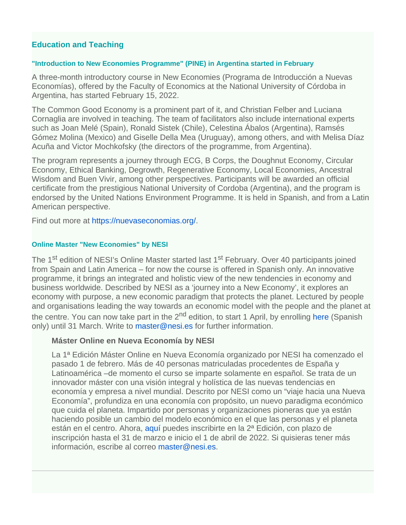## **Education and Teaching**

#### **"Introduction to New Economies Programme" (PINE) in Argentina started in February**

A three-month introductory course in New Economies (Programa de Introducción a Nuevas Economías), offered by the Faculty of Economics at the National University of Córdoba in Argentina, has started February 15, 2022.

The Common Good Economy is a prominent part of it, and Christian Felber and Luciana Cornaglia are involved in teaching. The team of facilitators also include international experts such as Joan Melé (Spain), Ronald Sistek (Chile), Celestina Ábalos (Argentina), Ramsés Gómez Molina (Mexico) and Giselle Della Mea (Uruguay), among others, and with Melisa Díaz Acuña and Victor Mochkofsky (the directors of the programme, from Argentina).

The program represents a journey through ECG, B Corps, the Doughnut Economy, Circular Economy, Ethical Banking, Degrowth, Regenerative Economy, Local Economies, Ancestral Wisdom and Buen Vivir, among other perspectives. Participants will be awarded an official certificate from the prestigious National University of Cordoba (Argentina), and the program is endorsed by the United Nations Environment Programme. It is held in Spanish, and from a Latin American perspective.

Find out more at <https://nuevaseconomias.org/>.

#### **Online Master "New Economies" by NESI**

The 1<sup>st</sup> edition of NESI's Online Master started last 1<sup>st</sup> February. Over 40 participants joined from Spain and Latin America – for now the course is offered in Spanish only. An innovative programme, it brings an integrated and holistic view of the new tendencies in economy and business worldwide. Described by NESI as a 'journey into a New Economy', it explores an economy with purpose, a new economic paradigm that protects the planet. Lectured by people and organisations leading the way towards an economic model with the people and the planet at thecentre. You can now take part in the  $2<sup>nd</sup>$  edition, to start 1 April, by enrolling here (Spanish only) until 31 March. Write to [master@nesi.es](mailto:master@nesi.es) for further information.

#### **Máster Online en Nueva Economía by NESI**

La 1ª Edición Máster Online en Nueva Economía organizado por NESI ha comenzado el pasado 1 de febrero. Más de 40 personas matriculadas procedentes de España y Latinoamérica –de momento el curso se imparte solamente en español. Se trata de un innovador máster con una visión integral y holística de las nuevas tendencias en economía y empresa a nivel mundial. Descrito por NESI como un "viaje hacia una Nueva Economía", profundiza en una economía con propósito, un nuevo paradigma económico que cuida el planeta. Impartido por personas y organizaciones pioneras que ya están haciendo posible un cambio del modelo económico en el que las personas y el planeta están en el centro. Ahora, [aquí](https://master.nesi.es/#meapunto) puedes inscribirte en la 2ª Edición, con plazo de inscripción hasta el 31 de marzo e inicio el 1 de abril de 2022. Si quisieras tener más información, escribe al correo [master@nesi.es.](mailto:master@nesi.es)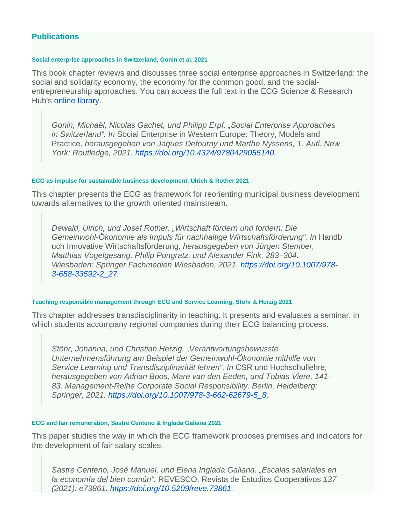### **Publications**

#### **Social enterprise approaches in Switzerland, Gonin et al. 2021**

This book chapter reviews and discusses three social enterprise approaches in Switzerland: the social and solidarity economy, the economy for the common good, and the socialentrepreneurship approaches. You can access the full text in the ECG Science & Research Hub's [online library.](https://datacloud.ecogood.org/s/pRmAbB4oc2iZG9d)

Gonin, Michaël, Nicolas Gachet, und Philipp Erpf. "Social Enterprise Approaches in Switzerland". In Social Enterprise in Western Europe: Theory, Models and Practice, herausgegeben von Jaques Defourny und Marthe Nyssens, 1. Aufl. New York: Routledge, 2021. [https://doi.org/10.4324/9780429055140.](https://doi.org/10.4324/9780429055140)

#### **ECG as impulse for sustainable business development, Ulrich & Rother 2021**

This chapter presents the ECG as framework for reorienting municipal business development towards alternatives to the growth oriented mainstream.

Dewald, Ulrich, und Josef Rother. "Wirtschaft fördern und fordern: Die Gemeinwohl-Ökonomie als Impuls für nachhaltige Wirtschaftsförderung". In Handb uch Innovative Wirtschaftsförderung, herausgegeben von Jürgen Stember, Matthias Vogelgesang, Philip Pongratz, und Alexander Fink, 283–304. Wiesbaden: Springer Fachmedien Wiesbaden, 2021. [https://doi.org/10.1007/978-](https://doi.org/10.1007/978-3-658-33592-2_27) [3-658-33592-2\\_27.](https://doi.org/10.1007/978-3-658-33592-2_27)

#### **Teaching responsible management through ECG and Service Learning, Stöhr & Herzig 2021**

This chapter addresses transdisciplinarity in teaching. It presents and evaluates a seminar, in which students accompany regional companies during their ECG balancing process.

Stöhr, Johanna, und Christian Herzig. "Verantwortungsbewusste Unternehmensführung am Beispiel der Gemeinwohl-Ökonomie mithilfe von Service Learning und Transdisziplinarität lehren". In CSR und Hochschullehre, herausgegeben von Adrian Boos, Mare van den Eeden, und Tobias Viere, 141– 83. Management-Reihe Corporate Social Responsibility. Berlin, Heidelberg: Springer, 2021. [https://doi.org/10.1007/978-3-662-62679-5\\_8](https://doi.org/10.1007/978-3-662-62679-5_8).

#### **ECG and fair remuneration, Sastre Centeno & Inglada Galiana 2021**

This paper studies the way in which the ECG framework proposes premises and indicators for the development of fair salary scales.

Sastre Centeno, José Manuel, und Elena Inglada Galiana. "Escalas salariales en la economía del bien común". REVESCO. Revista de Estudios Cooperativos 137 (2021): e73861. [https://doi.org/10.5209/reve.73861.](https://doi.org/10.5209/reve.73861)